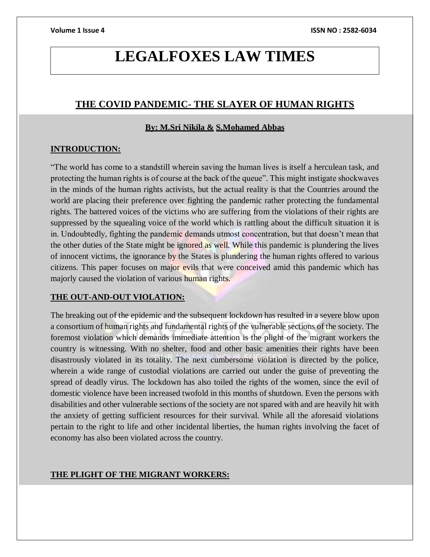# **LEGALFOXES LAW TIMES**

## **THE COVID PANDEMIC- THE SLAYER OF HUMAN RIGHTS**

### **By: M.Sri Nikila & S.Mohamed Abbas**

### **INTRODUCTION:**

"The world has come to a standstill wherein saving the human lives is itself a herculean task, and protecting the human rights is of course at the back of the queue". This might instigate shockwaves in the minds of the human rights activists, but the actual reality is that the Countries around the world are placing their preference over fighting the pandemic rather protecting the fundamental rights. The battered voices of the victims who are suffering from the violations of their rights are suppressed by the squealing voice of the world which is rattling about the difficult situation it is in. Undoubtedly, fighting the pandemic demands utmost concentration, but that doesn't mean that the other duties of the State might be ignored as well. While this pandemic is plundering the lives of innocent victims, the ignorance by the States is plundering the human rights offered to various citizens. This paper focuses on major evils that were conceived amid this pandemic which has majorly caused the violation of various human rights.

#### **THE OUT-AND-OUT VIOLATION:**

The breaking out of the epidemic and the subsequent lockdown has resulted in a severe blow upon a consortium of human rights and fundamental rights of the vulnerable sections of the society. The foremost violation which demands immediate attention is the plight of the migrant workers the country is witnessing. With no shelter, food and other basic amenities their rights have been disastrously violated in its totality. The next cumbersome violation is directed by the police, wherein a wide range of custodial violations are carried out under the guise of preventing the spread of deadly virus. The lockdown has also toiled the rights of the women, since the evil of domestic violence have been increased twofold in this months of shutdown. Even the persons with disabilities and other vulnerable sections of the society are not spared with and are heavily hit with the anxiety of getting sufficient resources for their survival. While all the aforesaid violations pertain to the right to life and other incidental liberties, the human rights involving the facet of economy has also been violated across the country.

### **THE PLIGHT OF THE MIGRANT WORKERS:**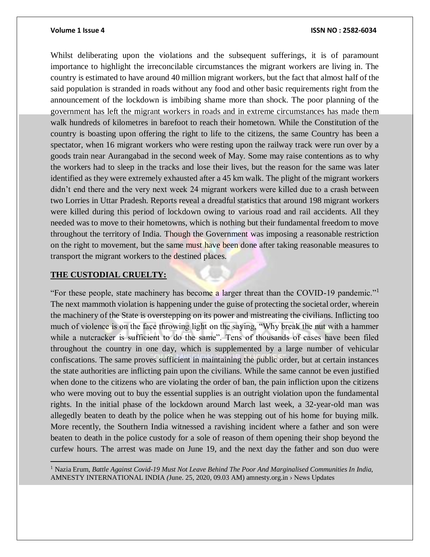Whilst deliberating upon the violations and the subsequent sufferings, it is of paramount importance to highlight the irreconcilable circumstances the migrant workers are living in. The country is estimated to have around 40 million migrant workers, but the fact that almost half of the said population is stranded in roads without any food and other basic requirements right from the announcement of the lockdown is imbibing shame more than shock. The poor planning of the government has left the migrant workers in roads and in extreme circumstances has made them walk hundreds of kilometres in barefoot to reach their hometown. While the Constitution of the country is boasting upon offering the right to life to the citizens, the same Country has been a spectator, when 16 migrant workers who were resting upon the railway track were run over by a goods train near Aurangabad in the second week of May. Some may raise contentions as to why the workers had to sleep in the tracks and lose their lives, but the reason for the same was later identified as they were extremely exhausted after a 45 km walk. The plight of the migrant workers didn't end there and the very next week 24 migrant workers were killed due to a crash between two Lorries in Uttar Pradesh. Reports reveal a dreadful statistics that around 198 migrant workers were killed during this period of lockdown owing to various road and rail accidents. All they needed was to move to their hometowns, which is nothing but their fundamental freedom to move throughout the territory of India. Though the Government was imposing a reasonable restriction on the right to movement, but the same must have been done after taking reasonable measures to transport the migrant workers to the destined places.

### **THE CUSTODIAL CRUELTY:**

"For these people, state machinery has become a larger threat than the COVID-19 pandemic."<sup>1</sup> The next mammoth violation is happening under the guise of protecting the societal order, wherein the machinery of the State is overstepping on its power and mistreating the civilians. Inflicting too much of violence is on the face throwing light on the saying, "Why break the nut with a hammer while a nutcracker is sufficient to do the same". Tens of thousands of cases have been filed throughout the country in one day, which is supplemented by a large number of vehicular confiscations. The same proves sufficient in maintaining the public order, but at certain instances the state authorities are inflicting pain upon the civilians. While the same cannot be even justified when done to the citizens who are violating the order of ban, the pain infliction upon the citizens who were moving out to buy the essential supplies is an outright violation upon the fundamental rights. In the initial phase of the lockdown around March last week, a 32-year-old man was allegedly beaten to death by the police when he was stepping out of his home for buying milk. More recently, the Southern India witnessed a ravishing incident where a father and son were beaten to death in the police custody for a sole of reason of them opening their shop beyond the curfew hours. The arrest was made on June 19, and the next day the father and son duo were

<sup>1</sup> Nazia Erum, *Battle Against Covid-19 Must Not Leave Behind The Poor And Marginalised Communities In India,*  AMNESTY INTERNATIONAL INDIA *(*June. 25, 2020, 09.03 AM) amnesty.org.in › News Updates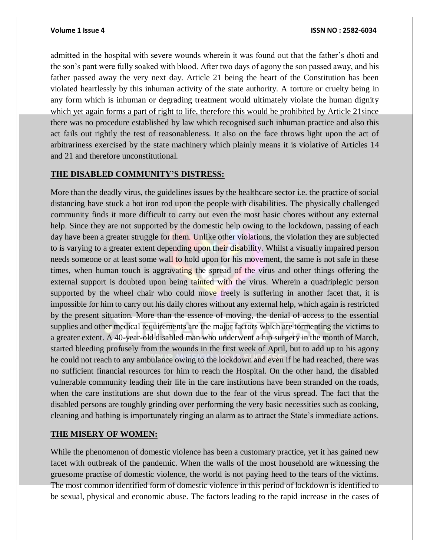admitted in the hospital with severe wounds wherein it was found out that the father's dhoti and the son's pant were fully soaked with blood. After two days of agony the son passed away, and his father passed away the very next day. Article 21 being the heart of the Constitution has been violated heartlessly by this inhuman activity of the state authority. A torture or cruelty being in any form which is inhuman or degrading treatment would ultimately violate the human dignity which yet again forms a part of right to life, therefore this would be prohibited by Article 21since there was no procedure established by law which recognised such inhuman practice and also this act fails out rightly the test of reasonableness. It also on the face throws light upon the act of arbitrariness exercised by the state machinery which plainly means it is violative of Articles 14 and 21 and therefore unconstitutional.

#### **THE DISABLED COMMUNITY'S DISTRESS:**

More than the deadly virus, the guidelines issues by the healthcare sector i.e. the practice of social distancing have stuck a hot iron rod upon the people with disabilities. The physically challenged community finds it more difficult to carry out even the most basic chores without any external help. Since they are not supported by the domestic help owing to the lockdown, passing of each day have been a greater struggle for them. Unlike other violations, the violation they are subjected to is varying to a greater extent depending upon their disability. Whilst a visually impaired person needs someone or at least some wall to hold upon for his movement, the same is not safe in these times, when human touch is aggravating the spread of the virus and other things offering the external support is doubted upon being tainted with the virus. Wherein a quadriplegic person supported by the wheel chair who could move freely is suffering in another facet that, it is impossible for him to carry out his daily chores without any external help, which again is restricted by the present situation. More than the essence of moving, the denial of access to the essential supplies and other medical requirements are the major factors which are tormenting the victims to a greater extent. A 40-year-old disabled man who underwent a hip surgery in the month of March, started bleeding profusely from the wounds in the first week of April, but to add up to his agony he could not reach to any ambulance owing to the lockdown and even if he had reached, there was no sufficient financial resources for him to reach the Hospital. On the other hand, the disabled vulnerable community leading their life in the care institutions have been stranded on the roads, when the care institutions are shut down due to the fear of the virus spread. The fact that the disabled persons are toughly grinding over performing the very basic necessities such as cooking, cleaning and bathing is importunately ringing an alarm as to attract the State's immediate actions.

#### **THE MISERY OF WOMEN:**

While the phenomenon of domestic violence has been a customary practice, yet it has gained new facet with outbreak of the pandemic. When the walls of the most household are witnessing the gruesome practise of domestic violence, the world is not paying heed to the tears of the victims. The most common identified form of domestic violence in this period of lockdown is identified to be sexual, physical and economic abuse. The factors leading to the rapid increase in the cases of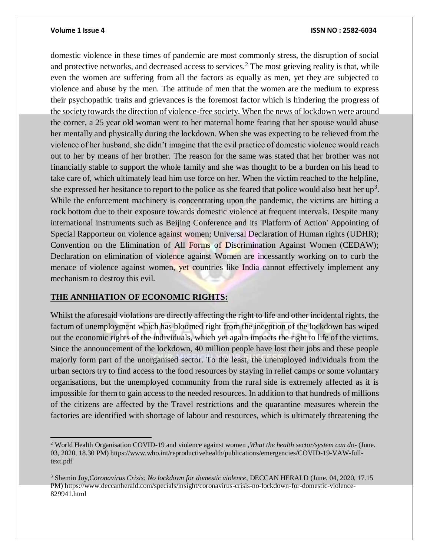$\overline{a}$ 

#### **Volume 1 Issue 4 ISSN NO : 2582-6034**

domestic violence in these times of pandemic are most commonly stress, the disruption of social and protective networks, and decreased access to services.<sup>2</sup> The most grieving reality is that, while even the women are suffering from all the factors as equally as men, yet they are subjected to violence and abuse by the men. The attitude of men that the women are the medium to express their psychopathic traits and grievances is the foremost factor which is hindering the progress of the society towards the direction of violence-free society. When the news of lockdown were around the corner, a 25 year old woman went to her maternal home fearing that her spouse would abuse her mentally and physically during the lockdown. When she was expecting to be relieved from the violence of her husband, she didn't imagine that the evil practice of domestic violence would reach out to her by means of her brother. The reason for the same was stated that her brother was not financially stable to support the whole family and she was thought to be a burden on his head to take care of, which ultimately lead him use force on her. When the victim reached to the helpline, she expressed her hesitance to report to the police as she feared that police would also beat her up<sup>3</sup>. While the enforcement machinery is concentrating upon the pandemic, the victims are hitting a rock bottom due to their exposure towards domestic violence at frequent intervals. Despite many international instruments such as Beijing Conference and its 'Platform of Action' Appointing of Special Rapporteur on violence against women; Universal Declaration of Human rights (UDHR); Convention on the Elimination of All Forms of Discrimination Against Women (CEDAW); Declaration on elimination of violence against Women are incessantly working on to curb the menace of violence against women, yet countries like India cannot effectively implement any mechanism to destroy this evil.

#### **THE ANNHIATION OF ECONOMIC RIGHTS:**

Whilst the aforesaid violations are directly affecting the right to life and other incidental rights, the factum of unemployment which has bloomed right from the inception of the lockdown has wiped out the economic rights of the individuals, which yet again impacts the right to life of the victims. Since the announcement of the lockdown, 40 million people have lost their jobs and these people majorly form part of the unorganised sector. To the least, the unemployed individuals from the urban sectors try to find access to the food resources by staying in relief camps or some voluntary organisations, but the unemployed community from the rural side is extremely affected as it is impossible for them to gain access to the needed resources. In addition to that hundreds of millions of the citizens are affected by the Travel restrictions and the quarantine measures wherein the factories are identified with shortage of labour and resources, which is ultimately threatening the

<sup>2</sup> World Health Organisation COVID-19 and violence against women ,*What the health sector/system can do-* (June. 03, 2020, 18.30 PM) https://www.who.int/reproductivehealth/publications/emergencies/COVID-19-VAW-fulltext.pdf

<sup>3</sup> Shemin Joy,*Coronavirus Crisis: No lockdown for domestic violence*, DECCAN HERALD (June. 04, 2020, 17.15 PM) https://www.deccanherald.com/specials/insight/coronavirus-crisis-no-lockdown-for-domestic-violence-829941.html